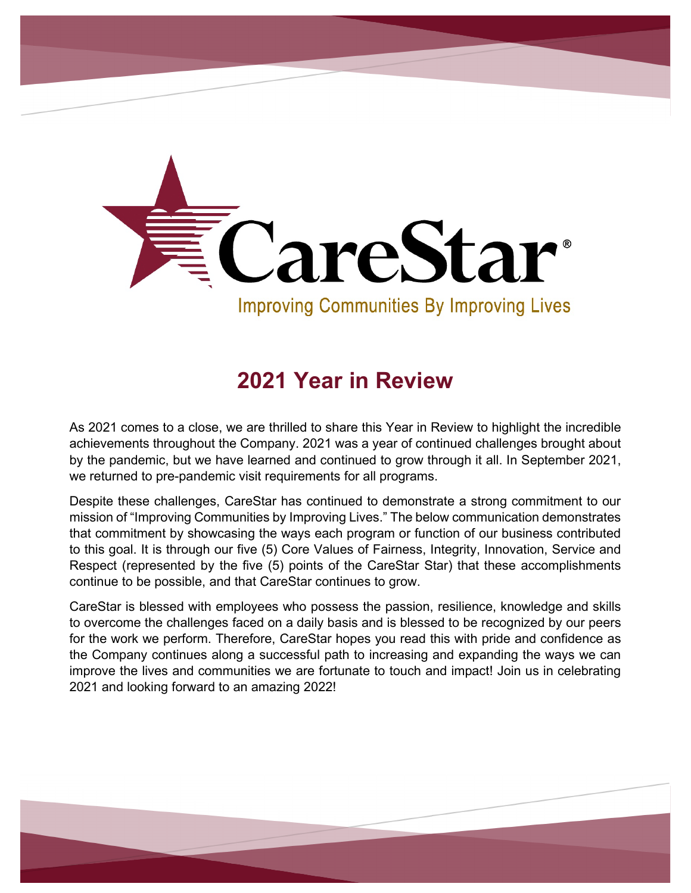

# **2021 Year in Review**

As 2021 comes to a close, we are thrilled to share this Year in Review to highlight the incredible achievements throughout the Company. 2021 was a year of continued challenges brought about by the pandemic, but we have learned and continued to grow through it all. In September 2021, we returned to pre-pandemic visit requirements for all programs.

Despite these challenges, CareStar has continued to demonstrate a strong commitment to our mission of "Improving Communities by Improving Lives." The below communication demonstrates that commitment by showcasing the ways each program or function of our business contributed to this goal. It is through our five (5) Core Values of Fairness, Integrity, Innovation, Service and Respect (represented by the five (5) points of the CareStar Star) that these accomplishments continue to be possible, and that CareStar continues to grow.

CareStar is blessed with employees who possess the passion, resilience, knowledge and skills to overcome the challenges faced on a daily basis and is blessed to be recognized by our peers for the work we perform. Therefore, CareStar hopes you read this with pride and confidence as the Company continues along a successful path to increasing and expanding the ways we can improve the lives and communities we are fortunate to touch and impact! Join us in celebrating 2021 and looking forward to an amazing 2022!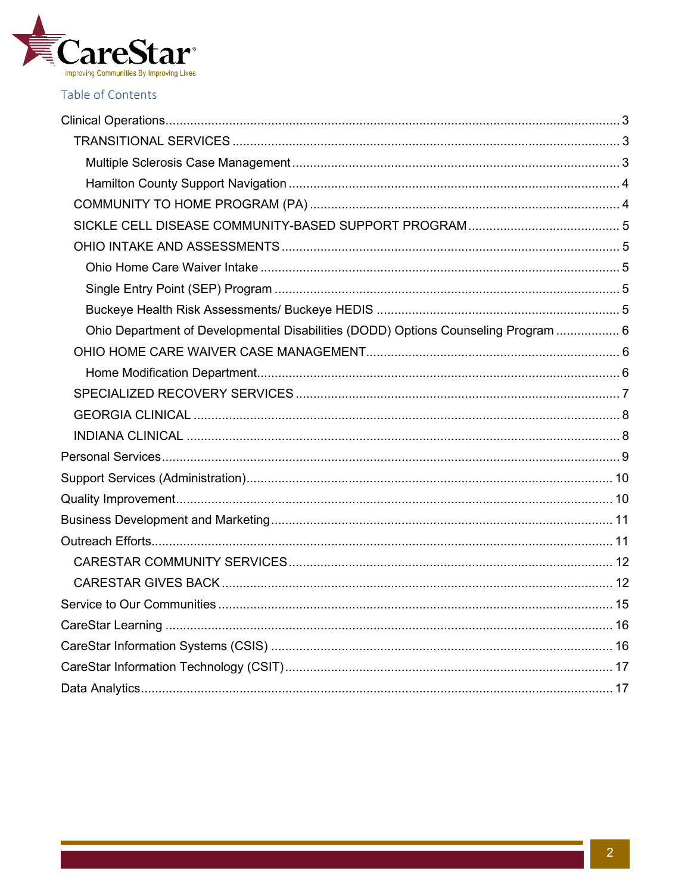

### Table of Contents

| Ohio Department of Developmental Disabilities (DODD) Options Counseling Program  6 |  |
|------------------------------------------------------------------------------------|--|
|                                                                                    |  |
|                                                                                    |  |
|                                                                                    |  |
|                                                                                    |  |
|                                                                                    |  |
|                                                                                    |  |
|                                                                                    |  |
|                                                                                    |  |
|                                                                                    |  |
|                                                                                    |  |
|                                                                                    |  |
|                                                                                    |  |
|                                                                                    |  |
|                                                                                    |  |
|                                                                                    |  |
|                                                                                    |  |
|                                                                                    |  |
|                                                                                    |  |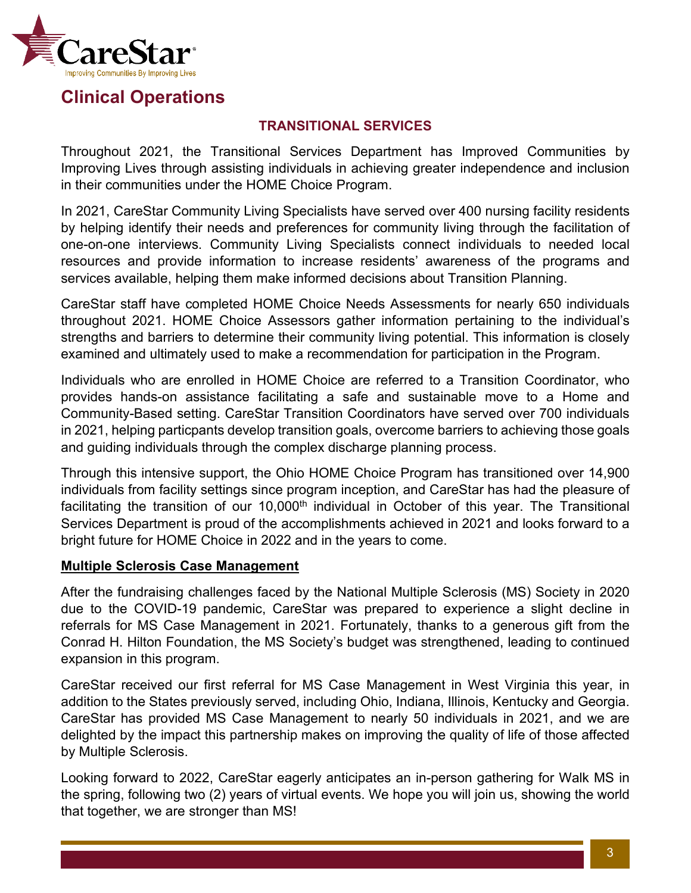

### <span id="page-2-0"></span>**Clinical Operations**

### **TRANSITIONAL SERVICES**

<span id="page-2-1"></span>Throughout 2021, the Transitional Services Department has Improved Communities by Improving Lives through assisting individuals in achieving greater independence and inclusion in their communities under the HOME Choice Program.

In 2021, CareStar Community Living Specialists have served over 400 nursing facility residents by helping identify their needs and preferences for community living through the facilitation of one-on-one interviews. Community Living Specialists connect individuals to needed local resources and provide information to increase residents' awareness of the programs and services available, helping them make informed decisions about Transition Planning.

CareStar staff have completed HOME Choice Needs Assessments for nearly 650 individuals throughout 2021. HOME Choice Assessors gather information pertaining to the individual's strengths and barriers to determine their community living potential. This information is closely examined and ultimately used to make a recommendation for participation in the Program.

Individuals who are enrolled in HOME Choice are referred to a Transition Coordinator, who provides hands-on assistance facilitating a safe and sustainable move to a Home and Community-Based setting. CareStar Transition Coordinators have served over 700 individuals in 2021, helping particpants develop transition goals, overcome barriers to achieving those goals and guiding individuals through the complex discharge planning process.

Through this intensive support, the Ohio HOME Choice Program has transitioned over 14,900 individuals from facility settings since program inception, and CareStar has had the pleasure of facilitating the transition of our 10,000<sup>th</sup> individual in October of this year. The Transitional Services Department is proud of the accomplishments achieved in 2021 and looks forward to a bright future for HOME Choice in 2022 and in the years to come.

### <span id="page-2-2"></span>**Multiple Sclerosis Case Management**

After the fundraising challenges faced by the National Multiple Sclerosis (MS) Society in 2020 due to the COVID-19 pandemic, CareStar was prepared to experience a slight decline in referrals for MS Case Management in 2021. Fortunately, thanks to a generous gift from the Conrad H. Hilton Foundation, the MS Society's budget was strengthened, leading to continued expansion in this program.

CareStar received our first referral for MS Case Management in West Virginia this year, in addition to the States previously served, including Ohio, Indiana, Illinois, Kentucky and Georgia. CareStar has provided MS Case Management to nearly 50 individuals in 2021, and we are delighted by the impact this partnership makes on improving the quality of life of those affected by Multiple Sclerosis.

Looking forward to 2022, CareStar eagerly anticipates an in-person gathering for Walk MS in the spring, following two (2) years of virtual events. We hope you will join us, showing the world that together, we are stronger than MS!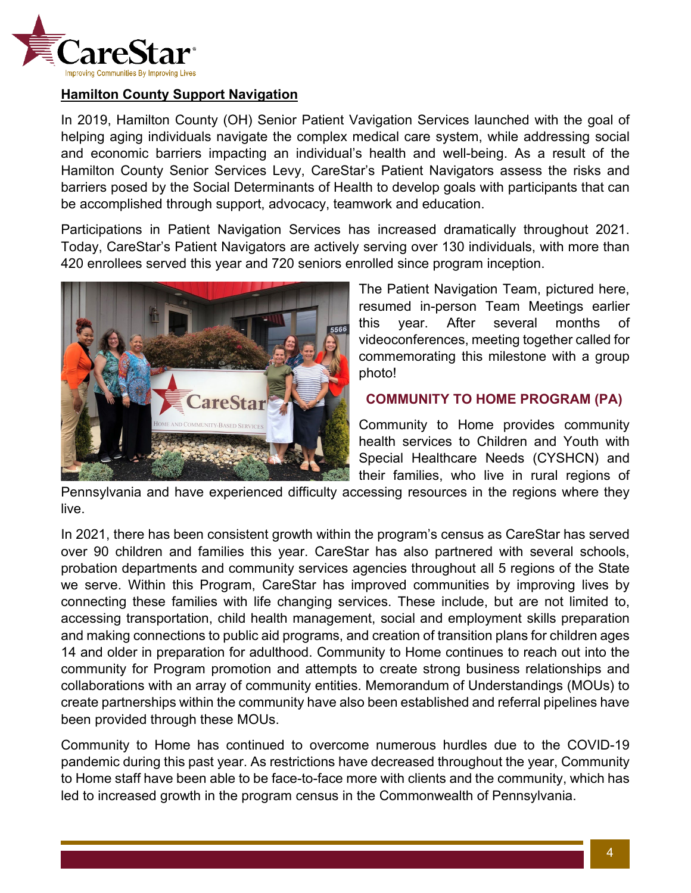

#### <span id="page-3-0"></span>**Hamilton County Support Navigation**

In 2019, Hamilton County (OH) Senior Patient Vavigation Services launched with the goal of helping aging individuals navigate the complex medical care system, while addressing social and economic barriers impacting an individual's health and well-being. As a result of the Hamilton County Senior Services Levy, CareStar's Patient Navigators assess the risks and barriers posed by the Social Determinants of Health to develop goals with participants that can be accomplished through support, advocacy, teamwork and education.

Participations in Patient Navigation Services has increased dramatically throughout 2021. Today, CareStar's Patient Navigators are actively serving over 130 individuals, with more than 420 enrollees served this year and 720 seniors enrolled since program inception.



The Patient Navigation Team, pictured here, resumed in-person Team Meetings earlier this year. After several months of videoconferences, meeting together called for commemorating this milestone with a group photo!

#### <span id="page-3-1"></span>**COMMUNITY TO HOME PROGRAM (PA)**

Community to Home provides community health services to Children and Youth with Special Healthcare Needs (CYSHCN) and their families, who live in rural regions of

Pennsylvania and have experienced difficulty accessing resources in the regions where they live.

In 2021, there has been consistent growth within the program's census as CareStar has served over 90 children and families this year. CareStar has also partnered with several schools, probation departments and community services agencies throughout all 5 regions of the State we serve. Within this Program, CareStar has improved communities by improving lives by connecting these families with life changing services. These include, but are not limited to, accessing transportation, child health management, social and employment skills preparation and making connections to public aid programs, and creation of transition plans for children ages 14 and older in preparation for adulthood. Community to Home continues to reach out into the community for Program promotion and attempts to create strong business relationships and collaborations with an array of community entities. Memorandum of Understandings (MOUs) to create partnerships within the community have also been established and referral pipelines have been provided through these MOUs.

Community to Home has continued to overcome numerous hurdles due to the COVID-19 pandemic during this past year. As restrictions have decreased throughout the year, Community to Home staff have been able to be face-to-face more with clients and the community, which has led to increased growth in the program census in the Commonwealth of Pennsylvania.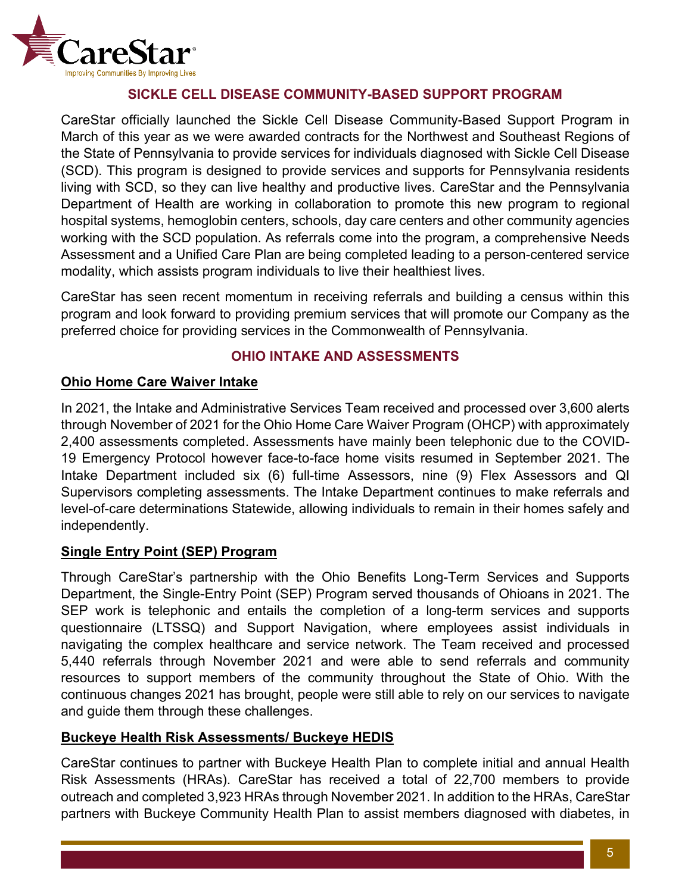

### **SICKLE CELL DISEASE COMMUNITY-BASED SUPPORT PROGRAM**

<span id="page-4-0"></span>CareStar officially launched the Sickle Cell Disease Community-Based Support Program in March of this year as we were awarded contracts for the Northwest and Southeast Regions of the State of Pennsylvania to provide services for individuals diagnosed with Sickle Cell Disease (SCD). This program is designed to provide services and supports for Pennsylvania residents living with SCD, so they can live healthy and productive lives. CareStar and the Pennsylvania Department of Health are working in collaboration to promote this new program to regional hospital systems, hemoglobin centers, schools, day care centers and other community agencies working with the SCD population. As referrals come into the program, a comprehensive Needs Assessment and a Unified Care Plan are being completed leading to a person-centered service modality, which assists program individuals to live their healthiest lives.

CareStar has seen recent momentum in receiving referrals and building a census within this program and look forward to providing premium services that will promote our Company as the preferred choice for providing services in the Commonwealth of Pennsylvania.

### **OHIO INTAKE AND ASSESSMENTS**

### <span id="page-4-2"></span><span id="page-4-1"></span>**Ohio Home Care Waiver Intake**

In 2021, the Intake and Administrative Services Team received and processed over 3,600 alerts through November of 2021 for the Ohio Home Care Waiver Program (OHCP) with approximately 2,400 assessments completed. Assessments have mainly been telephonic due to the COVID-19 Emergency Protocol however face-to-face home visits resumed in September 2021. The Intake Department included six (6) full-time Assessors, nine (9) Flex Assessors and QI Supervisors completing assessments. The Intake Department continues to make referrals and level-of-care determinations Statewide, allowing individuals to remain in their homes safely and independently.

### <span id="page-4-3"></span>**Single Entry Point (SEP) Program**

Through CareStar's partnership with the Ohio Benefits Long-Term Services and Supports Department, the Single-Entry Point (SEP) Program served thousands of Ohioans in 2021. The SEP work is telephonic and entails the completion of a long-term services and supports questionnaire (LTSSQ) and Support Navigation, where employees assist individuals in navigating the complex healthcare and service network. The Team received and processed 5,440 referrals through November 2021 and were able to send referrals and community resources to support members of the community throughout the State of Ohio. With the continuous changes 2021 has brought, people were still able to rely on our services to navigate and guide them through these challenges.

### <span id="page-4-4"></span>**Buckeye Health Risk Assessments/ Buckeye HEDIS**

CareStar continues to partner with Buckeye Health Plan to complete initial and annual Health Risk Assessments (HRAs). CareStar has received a total of 22,700 members to provide outreach and completed 3,923 HRAs through November 2021. In addition to the HRAs, CareStar partners with Buckeye Community Health Plan to assist members diagnosed with diabetes, in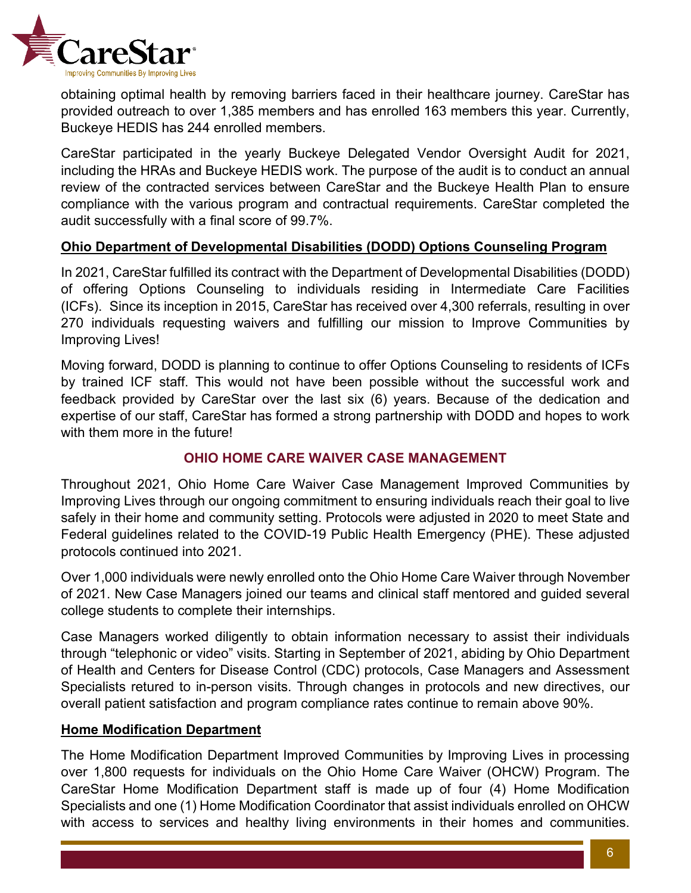

obtaining optimal health by removing barriers faced in their healthcare journey. CareStar has provided outreach to over 1,385 members and has enrolled 163 members this year. Currently, Buckeye HEDIS has 244 enrolled members.

CareStar participated in the yearly Buckeye Delegated Vendor Oversight Audit for 2021, including the HRAs and Buckeye HEDIS work. The purpose of the audit is to conduct an annual review of the contracted services between CareStar and the Buckeye Health Plan to ensure compliance with the various program and contractual requirements. CareStar completed the audit successfully with a final score of 99.7%.

### <span id="page-5-0"></span>**Ohio Department of Developmental Disabilities (DODD) Options Counseling Program**

In 2021, CareStar fulfilled its contract with the Department of Developmental Disabilities (DODD) of offering Options Counseling to individuals residing in Intermediate Care Facilities (ICFs). Since its inception in 2015, CareStar has received over 4,300 referrals, resulting in over 270 individuals requesting waivers and fulfilling our mission to Improve Communities by Improving Lives!

Moving forward, DODD is planning to continue to offer Options Counseling to residents of ICFs by trained ICF staff. This would not have been possible without the successful work and feedback provided by CareStar over the last six (6) years. Because of the dedication and expertise of our staff, CareStar has formed a strong partnership with DODD and hopes to work with them more in the future!

### **OHIO HOME CARE WAIVER CASE MANAGEMENT**

<span id="page-5-1"></span>Throughout 2021, Ohio Home Care Waiver Case Management Improved Communities by Improving Lives through our ongoing commitment to ensuring individuals reach their goal to live safely in their home and community setting. Protocols were adjusted in 2020 to meet State and Federal guidelines related to the COVID-19 Public Health Emergency (PHE). These adjusted protocols continued into 2021.

Over 1,000 individuals were newly enrolled onto the Ohio Home Care Waiver through November of 2021. New Case Managers joined our teams and clinical staff mentored and guided several college students to complete their internships.

Case Managers worked diligently to obtain information necessary to assist their individuals through "telephonic or video" visits. Starting in September of 2021, abiding by Ohio Department of Health and Centers for Disease Control (CDC) protocols, Case Managers and Assessment Specialists retured to in-person visits. Through changes in protocols and new directives, our overall patient satisfaction and program compliance rates continue to remain above 90%.

### <span id="page-5-2"></span>**Home Modification Department**

The Home Modification Department Improved Communities by Improving Lives in processing over 1,800 requests for individuals on the Ohio Home Care Waiver (OHCW) Program. The CareStar Home Modification Department staff is made up of four (4) Home Modification Specialists and one (1) Home Modification Coordinator that assist individuals enrolled on OHCW with access to services and healthy living environments in their homes and communities.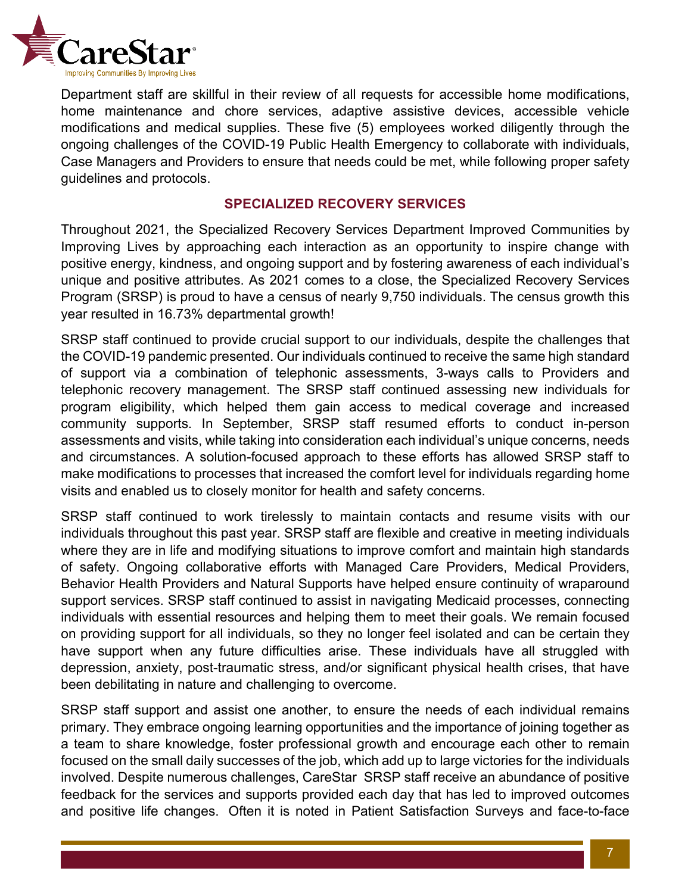

Department staff are skillful in their review of all requests for accessible home modifications, home maintenance and chore services, adaptive assistive devices, accessible vehicle modifications and medical supplies. These five (5) employees worked diligently through the ongoing challenges of the COVID-19 Public Health Emergency to collaborate with individuals, Case Managers and Providers to ensure that needs could be met, while following proper safety guidelines and protocols.

#### **SPECIALIZED RECOVERY SERVICES**

<span id="page-6-0"></span>Throughout 2021, the Specialized Recovery Services Department Improved Communities by Improving Lives by approaching each interaction as an opportunity to inspire change with positive energy, kindness, and ongoing support and by fostering awareness of each individual's unique and positive attributes. As 2021 comes to a close, the Specialized Recovery Services Program (SRSP) is proud to have a census of nearly 9,750 individuals. The census growth this year resulted in 16.73% departmental growth!

SRSP staff continued to provide crucial support to our individuals, despite the challenges that the COVID-19 pandemic presented. Our individuals continued to receive the same high standard of support via a combination of telephonic assessments, 3-ways calls to Providers and telephonic recovery management. The SRSP staff continued assessing new individuals for program eligibility, which helped them gain access to medical coverage and increased community supports. In September, SRSP staff resumed efforts to conduct in-person assessments and visits, while taking into consideration each individual's unique concerns, needs and circumstances. A solution-focused approach to these efforts has allowed SRSP staff to make modifications to processes that increased the comfort level for individuals regarding home visits and enabled us to closely monitor for health and safety concerns.

SRSP staff continued to work tirelessly to maintain contacts and resume visits with our individuals throughout this past year. SRSP staff are flexible and creative in meeting individuals where they are in life and modifying situations to improve comfort and maintain high standards of safety. Ongoing collaborative efforts with Managed Care Providers, Medical Providers, Behavior Health Providers and Natural Supports have helped ensure continuity of wraparound support services. SRSP staff continued to assist in navigating Medicaid processes, connecting individuals with essential resources and helping them to meet their goals. We remain focused on providing support for all individuals, so they no longer feel isolated and can be certain they have support when any future difficulties arise. These individuals have all struggled with depression, anxiety, post-traumatic stress, and/or significant physical health crises, that have been debilitating in nature and challenging to overcome.

SRSP staff support and assist one another, to ensure the needs of each individual remains primary. They embrace ongoing learning opportunities and the importance of joining together as a team to share knowledge, foster professional growth and encourage each other to remain focused on the small daily successes of the job, which add up to large victories for the individuals involved. Despite numerous challenges, CareStar SRSP staff receive an abundance of positive feedback for the services and supports provided each day that has led to improved outcomes and positive life changes. Often it is noted in Patient Satisfaction Surveys and face-to-face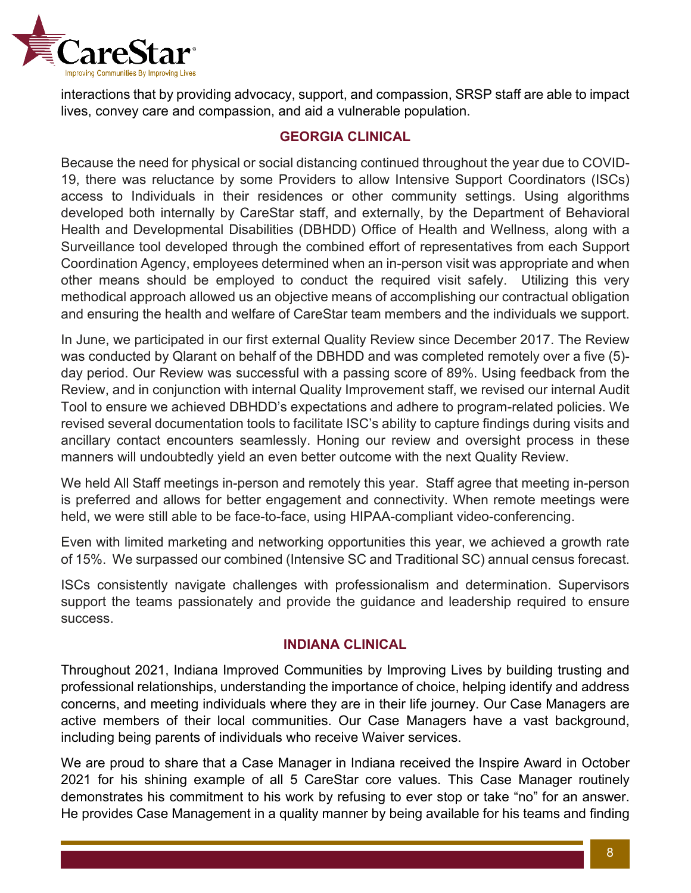

interactions that by providing advocacy, support, and compassion, SRSP staff are able to impact lives, convey care and compassion, and aid a vulnerable population.

### **GEORGIA CLINICAL**

<span id="page-7-0"></span>Because the need for physical or social distancing continued throughout the year due to COVID-19, there was reluctance by some Providers to allow Intensive Support Coordinators (ISCs) access to Individuals in their residences or other community settings. Using algorithms developed both internally by CareStar staff, and externally, by the Department of Behavioral Health and Developmental Disabilities (DBHDD) Office of Health and Wellness, along with a Surveillance tool developed through the combined effort of representatives from each Support Coordination Agency, employees determined when an in-person visit was appropriate and when other means should be employed to conduct the required visit safely. Utilizing this very methodical approach allowed us an objective means of accomplishing our contractual obligation and ensuring the health and welfare of CareStar team members and the individuals we support.

In June, we participated in our first external Quality Review since December 2017. The Review was conducted by Qlarant on behalf of the DBHDD and was completed remotely over a five (5) day period. Our Review was successful with a passing score of 89%. Using feedback from the Review, and in conjunction with internal Quality Improvement staff, we revised our internal Audit Tool to ensure we achieved DBHDD's expectations and adhere to program-related policies. We revised several documentation tools to facilitate ISC's ability to capture findings during visits and ancillary contact encounters seamlessly. Honing our review and oversight process in these manners will undoubtedly yield an even better outcome with the next Quality Review.

We held All Staff meetings in-person and remotely this year. Staff agree that meeting in-person is preferred and allows for better engagement and connectivity. When remote meetings were held, we were still able to be face-to-face, using HIPAA-compliant video-conferencing.

Even with limited marketing and networking opportunities this year, we achieved a growth rate of 15%. We surpassed our combined (Intensive SC and Traditional SC) annual census forecast.

ISCs consistently navigate challenges with professionalism and determination. Supervisors support the teams passionately and provide the guidance and leadership required to ensure success.

### **INDIANA CLINICAL**

<span id="page-7-1"></span>Throughout 2021, Indiana Improved Communities by Improving Lives by building trusting and professional relationships, understanding the importance of choice, helping identify and address concerns, and meeting individuals where they are in their life journey. Our Case Managers are active members of their local communities. Our Case Managers have a vast background, including being parents of individuals who receive Waiver services.

We are proud to share that a Case Manager in Indiana received the Inspire Award in October 2021 for his shining example of all 5 CareStar core values. This Case Manager routinely demonstrates his commitment to his work by refusing to ever stop or take "no" for an answer. He provides Case Management in a quality manner by being available for his teams and finding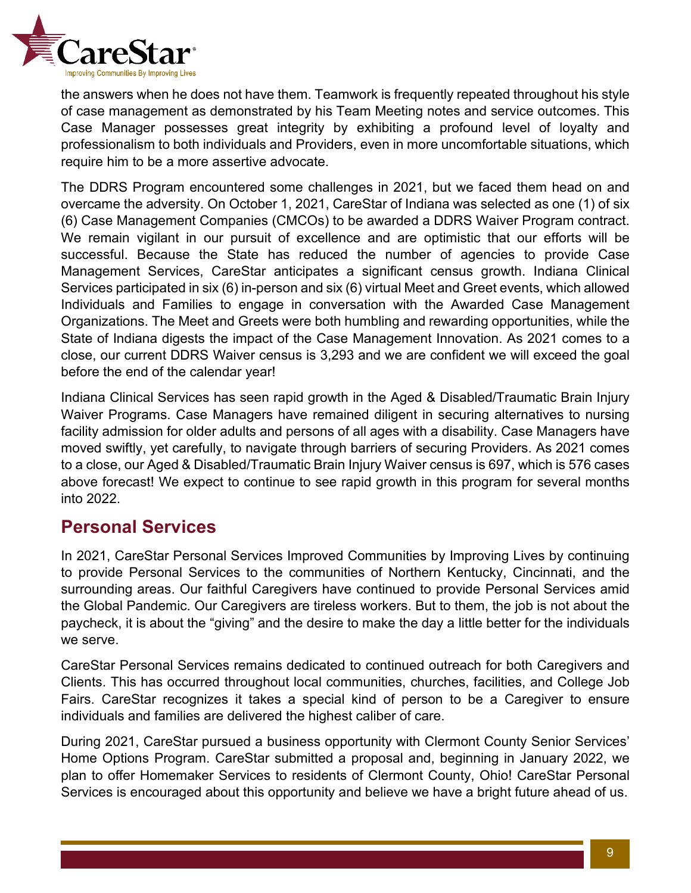

the answers when he does not have them. Teamwork is frequently repeated throughout his style of case management as demonstrated by his Team Meeting notes and service outcomes. This Case Manager possesses great integrity by exhibiting a profound level of loyalty and professionalism to both individuals and Providers, even in more uncomfortable situations, which require him to be a more assertive advocate.

The DDRS Program encountered some challenges in 2021, but we faced them head on and overcame the adversity. On October 1, 2021, CareStar of Indiana was selected as one (1) of six (6) Case Management Companies (CMCOs) to be awarded a DDRS Waiver Program contract. We remain vigilant in our pursuit of excellence and are optimistic that our efforts will be successful. Because the State has reduced the number of agencies to provide Case Management Services, CareStar anticipates a significant census growth. Indiana Clinical Services participated in six (6) in-person and six (6) virtual Meet and Greet events, which allowed Individuals and Families to engage in conversation with the Awarded Case Management Organizations. The Meet and Greets were both humbling and rewarding opportunities, while the State of Indiana digests the impact of the Case Management Innovation. As 2021 comes to a close, our current DDRS Waiver census is 3,293 and we are confident we will exceed the goal before the end of the calendar year!

Indiana Clinical Services has seen rapid growth in the Aged & Disabled/Traumatic Brain Injury Waiver Programs. Case Managers have remained diligent in securing alternatives to nursing facility admission for older adults and persons of all ages with a disability. Case Managers have moved swiftly, yet carefully, to navigate through barriers of securing Providers. As 2021 comes to a close, our Aged & Disabled/Traumatic Brain Injury Waiver census is 697, which is 576 cases above forecast! We expect to continue to see rapid growth in this program for several months into 2022.

### <span id="page-8-0"></span>**Personal Services**

In 2021, CareStar Personal Services Improved Communities by Improving Lives by continuing to provide Personal Services to the communities of Northern Kentucky, Cincinnati, and the surrounding areas. Our faithful Caregivers have continued to provide Personal Services amid the Global Pandemic. Our Caregivers are tireless workers. But to them, the job is not about the paycheck, it is about the "giving" and the desire to make the day a little better for the individuals we serve.

CareStar Personal Services remains dedicated to continued outreach for both Caregivers and Clients. This has occurred throughout local communities, churches, facilities, and College Job Fairs. CareStar recognizes it takes a special kind of person to be a Caregiver to ensure individuals and families are delivered the highest caliber of care.

During 2021, CareStar pursued a business opportunity with Clermont County Senior Services' Home Options Program. CareStar submitted a proposal and, beginning in January 2022, we plan to offer Homemaker Services to residents of Clermont County, Ohio! CareStar Personal Services is encouraged about this opportunity and believe we have a bright future ahead of us.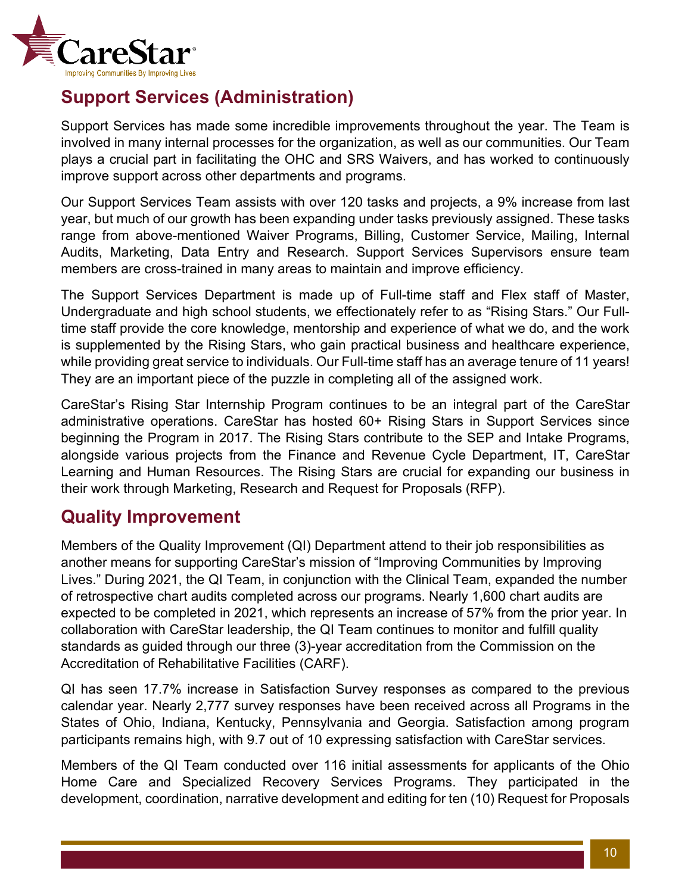

## <span id="page-9-0"></span>**Support Services (Administration)**

Support Services has made some incredible improvements throughout the year. The Team is involved in many internal processes for the organization, as well as our communities. Our Team plays a crucial part in facilitating the OHC and SRS Waivers, and has worked to continuously improve support across other departments and programs.

Our Support Services Team assists with over 120 tasks and projects, a 9% increase from last year, but much of our growth has been expanding under tasks previously assigned. These tasks range from above-mentioned Waiver Programs, Billing, Customer Service, Mailing, Internal Audits, Marketing, Data Entry and Research. Support Services Supervisors ensure team members are cross-trained in many areas to maintain and improve efficiency.

The Support Services Department is made up of Full-time staff and Flex staff of Master, Undergraduate and high school students, we effectionately refer to as "Rising Stars." Our Fulltime staff provide the core knowledge, mentorship and experience of what we do, and the work is supplemented by the Rising Stars, who gain practical business and healthcare experience, while providing great service to individuals. Our Full-time staff has an average tenure of 11 years! They are an important piece of the puzzle in completing all of the assigned work.

CareStar's Rising Star Internship Program continues to be an integral part of the CareStar administrative operations. CareStar has hosted 60+ Rising Stars in Support Services since beginning the Program in 2017. The Rising Stars contribute to the SEP and Intake Programs, alongside various projects from the Finance and Revenue Cycle Department, IT, CareStar Learning and Human Resources. The Rising Stars are crucial for expanding our business in their work through Marketing, Research and Request for Proposals (RFP).

### <span id="page-9-1"></span>**Quality Improvement**

Members of the Quality Improvement (QI) Department attend to their job responsibilities as another means for supporting CareStar's mission of "Improving Communities by Improving Lives." During 2021, the QI Team, in conjunction with the Clinical Team, expanded the number of retrospective chart audits completed across our programs. Nearly 1,600 chart audits are expected to be completed in 2021, which represents an increase of 57% from the prior year. In collaboration with CareStar leadership, the QI Team continues to monitor and fulfill quality standards as guided through our three (3)-year accreditation from the Commission on the Accreditation of Rehabilitative Facilities (CARF).

QI has seen 17.7% increase in Satisfaction Survey responses as compared to the previous calendar year. Nearly 2,777 survey responses have been received across all Programs in the States of Ohio, Indiana, Kentucky, Pennsylvania and Georgia. Satisfaction among program participants remains high, with 9.7 out of 10 expressing satisfaction with CareStar services.

Members of the QI Team conducted over 116 initial assessments for applicants of the Ohio Home Care and Specialized Recovery Services Programs. They participated in the development, coordination, narrative development and editing for ten (10) Request for Proposals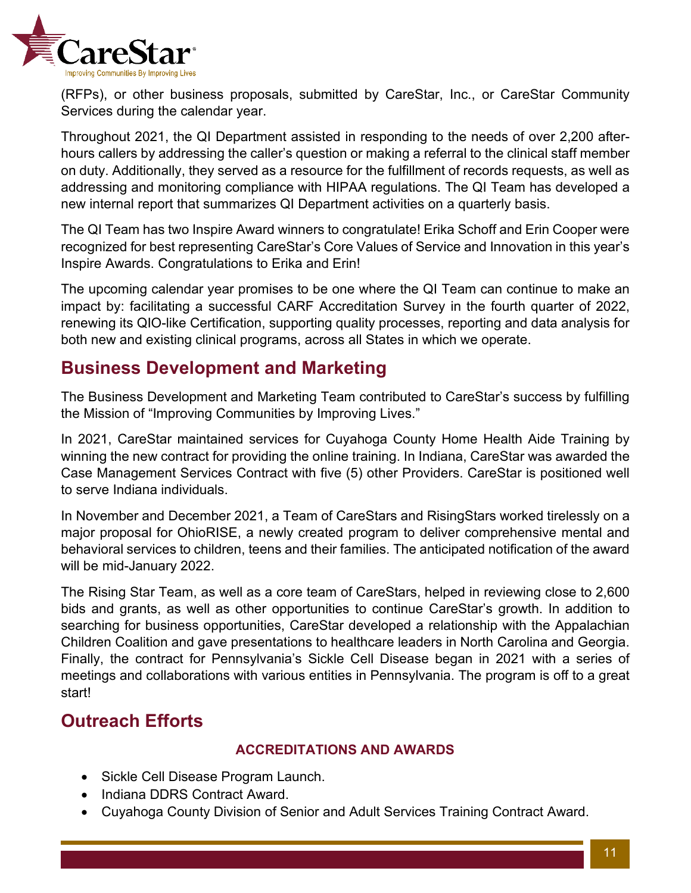

(RFPs), or other business proposals, submitted by CareStar, Inc., or CareStar Community Services during the calendar year.

Throughout 2021, the QI Department assisted in responding to the needs of over 2,200 afterhours callers by addressing the caller's question or making a referral to the clinical staff member on duty. Additionally, they served as a resource for the fulfillment of records requests, as well as addressing and monitoring compliance with HIPAA regulations. The QI Team has developed a new internal report that summarizes QI Department activities on a quarterly basis.

The QI Team has two Inspire Award winners to congratulate! Erika Schoff and Erin Cooper were recognized for best representing CareStar's Core Values of Service and Innovation in this year's Inspire Awards. Congratulations to Erika and Erin!

The upcoming calendar year promises to be one where the QI Team can continue to make an impact by: facilitating a successful CARF Accreditation Survey in the fourth quarter of 2022, renewing its QIO-like Certification, supporting quality processes, reporting and data analysis for both new and existing clinical programs, across all States in which we operate.

## <span id="page-10-0"></span>**Business Development and Marketing**

The Business Development and Marketing Team contributed to CareStar's success by fulfilling the Mission of "Improving Communities by Improving Lives."

In 2021, CareStar maintained services for Cuyahoga County Home Health Aide Training by winning the new contract for providing the online training. In Indiana, CareStar was awarded the Case Management Services Contract with five (5) other Providers. CareStar is positioned well to serve Indiana individuals.

In November and December 2021, a Team of CareStars and RisingStars worked tirelessly on a major proposal for OhioRISE, a newly created program to deliver comprehensive mental and behavioral services to children, teens and their families. The anticipated notification of the award will be mid-January 2022.

The Rising Star Team, as well as a core team of CareStars, helped in reviewing close to 2,600 bids and grants, as well as other opportunities to continue CareStar's growth. In addition to searching for business opportunities, CareStar developed a relationship with the Appalachian Children Coalition and gave presentations to healthcare leaders in North Carolina and Georgia. Finally, the contract for Pennsylvania's Sickle Cell Disease began in 2021 with a series of meetings and collaborations with various entities in Pennsylvania. The program is off to a great start!

# <span id="page-10-1"></span>**Outreach Efforts**

### **ACCREDITATIONS AND AWARDS**

- Sickle Cell Disease Program Launch.
- Indiana DDRS Contract Award.
- Cuyahoga County Division of Senior and Adult Services Training Contract Award.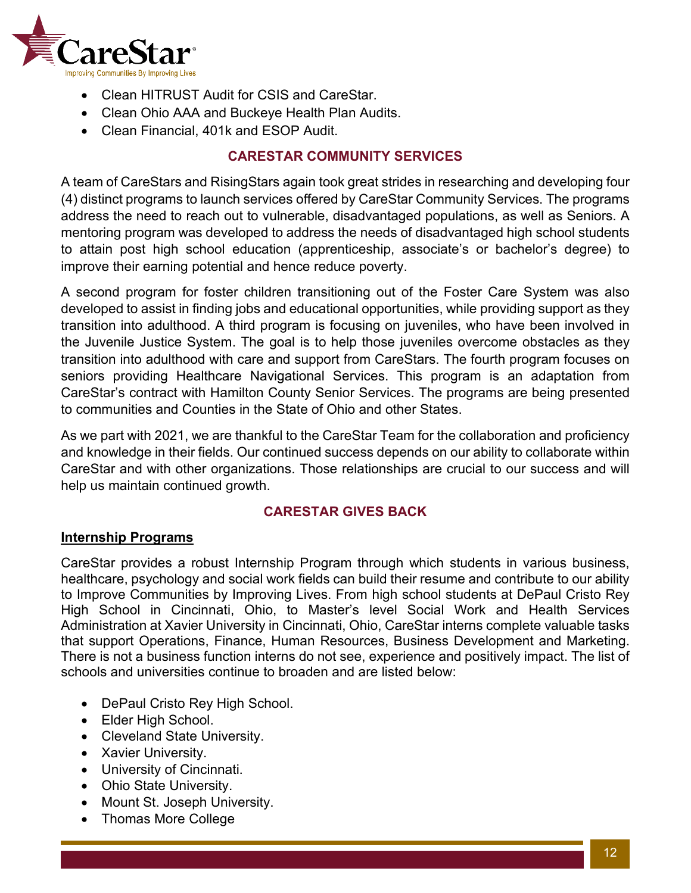

- Clean HITRUST Audit for CSIS and CareStar.
- Clean Ohio AAA and Buckeye Health Plan Audits.
- Clean Financial, 401k and ESOP Audit.

### **CARESTAR COMMUNITY SERVICES**

<span id="page-11-0"></span>A team of CareStars and RisingStars again took great strides in researching and developing four (4) distinct programs to launch services offered by CareStar Community Services. The programs address the need to reach out to vulnerable, disadvantaged populations, as well as Seniors. A mentoring program was developed to address the needs of disadvantaged high school students to attain post high school education (apprenticeship, associate's or bachelor's degree) to improve their earning potential and hence reduce poverty.

A second program for foster children transitioning out of the Foster Care System was also developed to assist in finding jobs and educational opportunities, while providing support as they transition into adulthood. A third program is focusing on juveniles, who have been involved in the Juvenile Justice System. The goal is to help those juveniles overcome obstacles as they transition into adulthood with care and support from CareStars. The fourth program focuses on seniors providing Healthcare Navigational Services. This program is an adaptation from CareStar's contract with Hamilton County Senior Services. The programs are being presented to communities and Counties in the State of Ohio and other States.

As we part with 2021, we are thankful to the CareStar Team for the collaboration and proficiency and knowledge in their fields. Our continued success depends on our ability to collaborate within CareStar and with other organizations. Those relationships are crucial to our success and will help us maintain continued growth.

### **CARESTAR GIVES BACK**

### <span id="page-11-1"></span>**Internship Programs**

CareStar provides a robust Internship Program through which students in various business, healthcare, psychology and social work fields can build their resume and contribute to our ability to Improve Communities by Improving Lives. From high school students at DePaul Cristo Rey High School in Cincinnati, Ohio, to Master's level Social Work and Health Services Administration at Xavier University in Cincinnati, Ohio, CareStar interns complete valuable tasks that support Operations, Finance, Human Resources, Business Development and Marketing. There is not a business function interns do not see, experience and positively impact. The list of schools and universities continue to broaden and are listed below:

- DePaul Cristo Rey High School.
- Elder High School.
- Cleveland State University.
- Xavier University.
- University of Cincinnati.
- Ohio State University.
- Mount St. Joseph University.
- Thomas More College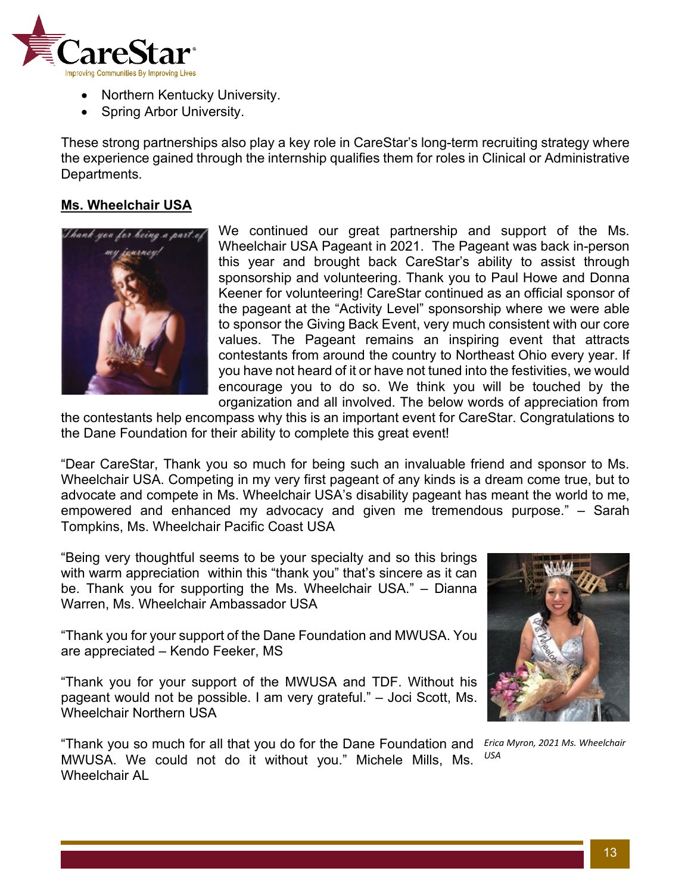

- Northern Kentucky University.
- Spring Arbor University.

These strong partnerships also play a key role in CareStar's long-term recruiting strategy where the experience gained through the internship qualifies them for roles in Clinical or Administrative Departments.

#### **Ms. Wheelchair USA**



We continued our great partnership and support of the Ms. Wheelchair USA Pageant in 2021. The Pageant was back in-person this year and brought back CareStar's ability to assist through sponsorship and volunteering. Thank you to Paul Howe and Donna Keener for volunteering! CareStar continued as an official sponsor of the pageant at the "Activity Level" sponsorship where we were able to sponsor the Giving Back Event, very much consistent with our core values. The Pageant remains an inspiring event that attracts contestants from around the country to Northeast Ohio every year. If you have not heard of it or have not tuned into the festivities, we would encourage you to do so. We think you will be touched by the organization and all involved. The below words of appreciation from

the contestants help encompass why this is an important event for CareStar. Congratulations to the Dane Foundation for their ability to complete this great event!

"Dear CareStar, Thank you so much for being such an invaluable friend and sponsor to Ms. Wheelchair USA. Competing in my very first pageant of any kinds is a dream come true, but to advocate and compete in Ms. Wheelchair USA's disability pageant has meant the world to me, empowered and enhanced my advocacy and given me tremendous purpose." – Sarah Tompkins, Ms. Wheelchair Pacific Coast USA

"Being very thoughtful seems to be your specialty and so this brings with warm appreciation within this "thank you" that's sincere as it can be. Thank you for supporting the Ms. Wheelchair USA." – Dianna Warren, Ms. Wheelchair Ambassador USA

"Thank you for your support of the Dane Foundation and MWUSA. You are appreciated – Kendo Feeker, MS

"Thank you for your support of the MWUSA and TDF. Without his pageant would not be possible. I am very grateful." – Joci Scott, Ms. Wheelchair Northern USA

"Thank you so much for all that you do for the Dane Foundation and MWUSA. We could not do it without you." Michele Mills, Ms. Wheelchair AL



*Erica Myron, 2021 Ms. Wheelchair USA*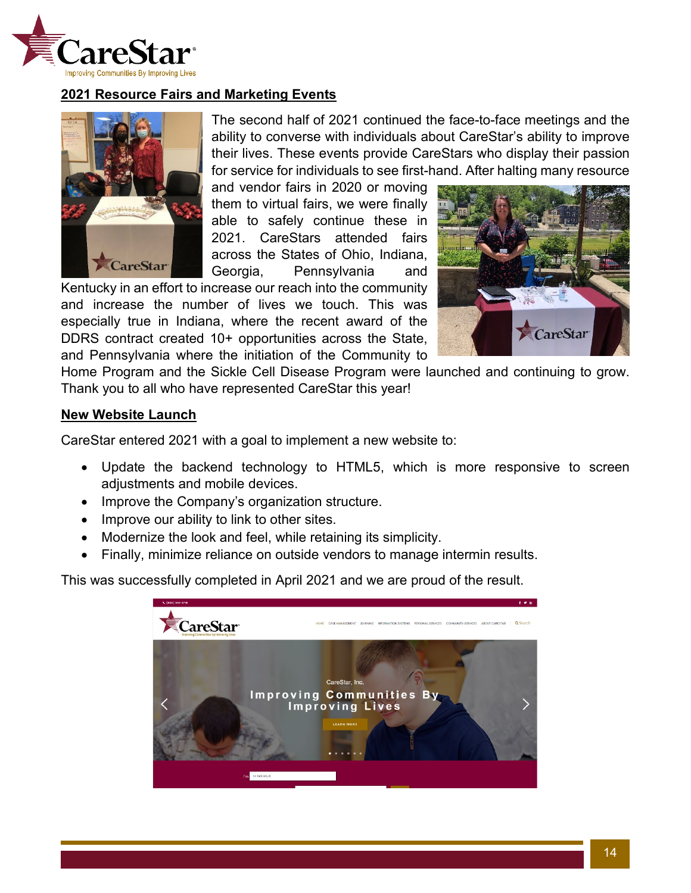

### **2021 Resource Fairs and Marketing Events**



The second half of 2021 continued the face-to-face meetings and the ability to converse with individuals about CareStar's ability to improve their lives. These events provide CareStars who display their passion for service for individuals to see first-hand. After halting many resource

and vendor fairs in 2020 or moving them to virtual fairs, we were finally able to safely continue these in 2021. CareStars attended fairs across the States of Ohio, Indiana, Georgia, Pennsylvania and

Kentucky in an effort to increase our reach into the community and increase the number of lives we touch. This was especially true in Indiana, where the recent award of the DDRS contract created 10+ opportunities across the State, and Pennsylvania where the initiation of the Community to



Home Program and the Sickle Cell Disease Program were launched and continuing to grow. Thank you to all who have represented CareStar this year!

#### **New Website Launch**

CareStar entered 2021 with a goal to implement a new website to:

- Update the backend technology to HTML5, which is more responsive to screen adjustments and mobile devices.
- Improve the Company's organization structure.
- Improve our ability to link to other sites.
- Modernize the look and feel, while retaining its simplicity.
- Finally, minimize reliance on outside vendors to manage intermin results.

This was successfully completed in April 2021 and we are proud of the result.

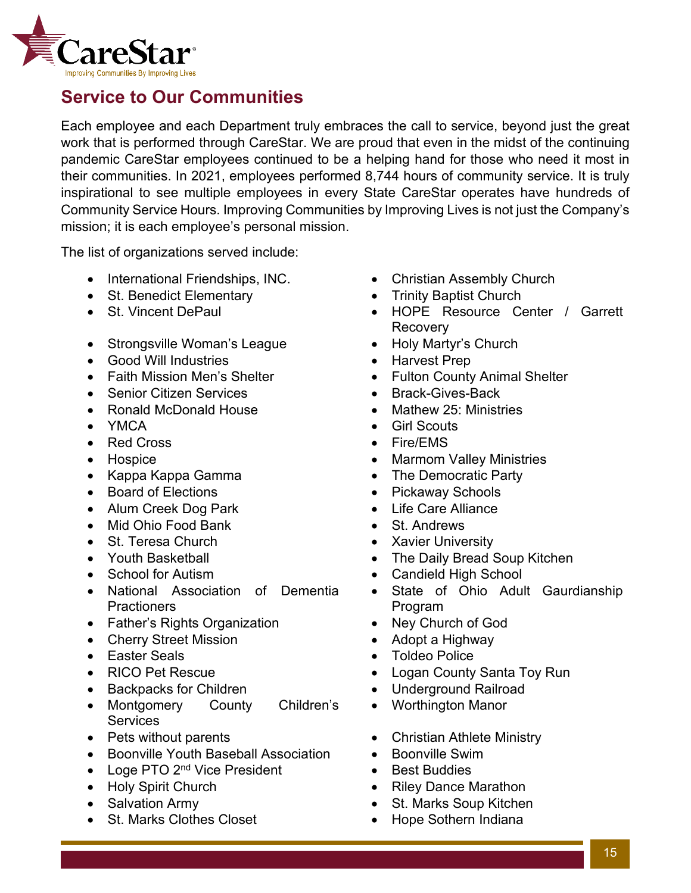

### <span id="page-14-0"></span>**Service to Our Communities**

Each employee and each Department truly embraces the call to service, beyond just the great work that is performed through CareStar. We are proud that even in the midst of the continuing pandemic CareStar employees continued to be a helping hand for those who need it most in their communities. In 2021, employees performed 8,744 hours of community service. It is truly inspirational to see multiple employees in every State CareStar operates have hundreds of Community Service Hours. Improving Communities by Improving Lives is not just the Company's mission; it is each employee's personal mission.

The list of organizations served include:

- International Friendships, INC. Christian Assembly Church
- St. Benedict Elementary Trinity Baptist Church
- 
- Strongsville Woman's League Holy Martyr's Church
- Good Will Industries Harvest Prep
- 
- Senior Citizen Services Brack-Gives-Back
- Ronald McDonald House Mathew 25: Ministries
- 
- Red Cross Fire/EMS
- 
- Kappa Kappa Gamma The Democratic Party
- 
- Alum Creek Dog Park  **Life Care Alliance**
- Mid Ohio Food Bank St. Andrews
- St. Teresa Church Xavier University
- 
- 
- National Association of Dementia **Practioners**
- Father's Rights Organization Ney Church of God
- Cherry Street Mission Adopt a Highway
- 
- 
- Backpacks for Children Underground Railroad
- Montgomery County Children's **Services**
- 
- Boonville Youth Baseball Association Boonville Swim
- Loge PTO 2<sup>nd</sup> Vice President Best Buddies
- 
- 
- St. Marks Clothes Closet Hope Sothern Indiana
- 
- 
- St. Vincent DePaul HOPE Resource Center / Garrett Recovery
	-
	-
- Faith Mission Men's Shelter • Fulton County Animal Shelter
	-
	-
- YMCA Girl Scouts
	-
- Hospice Marmom Valley Ministries
	-
- Board of Elections Pickaway Schools
	-
	-
	-
- Youth Basketball **•** The Daily Bread Soup Kitchen
- School for Autism Candield High School
	- State of Ohio Adult Gaurdianship Program
	-
	-
- Easter Seals Toldeo Police
- RICO Pet Rescue  **Logan County Santa Toy Run** 
	-
	- Worthington Manor
- Pets without parents  **Christian Athlete Ministry** 
	-
	-
- Holy Spirit Church Riley Dance Marathon
- Salvation Army  **St. Marks Soup Kitchen** 
	-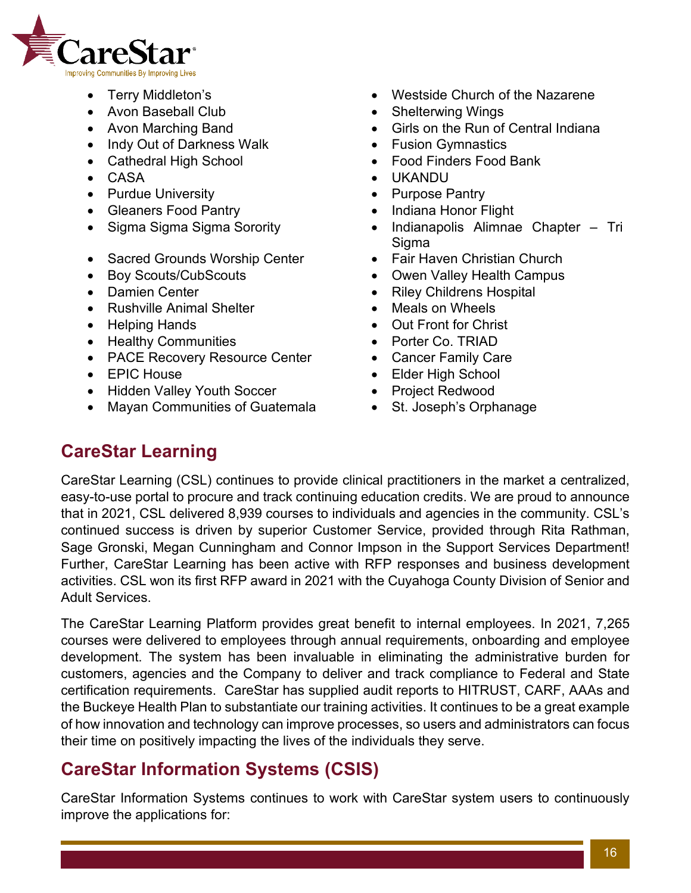

- 
- Avon Baseball Club **•** Shelterwing Wings
- 
- Indy Out of Darkness Walk Fusion Gymnastics
- 
- 
- Purdue University  **Purpose Pantry**
- Gleaners Food Pantry  **Indiana Honor Flight**
- 
- Sacred Grounds Worship Center Fair Haven Christian Church
- 
- 
- Rushville Animal Shelter • Meals on Wheels
- 
- Healthy Communities Porter Co. TRIAD
- PACE Recovery Resource Center Cancer Family Care
- 
- Hidden Valley Youth Soccer • Project Redwood
- Mayan Communities of Guatemala St. Joseph's Orphanage
- Terry Middleton's  **Westside Church of the Nazarene** 
	-
- Avon Marching Band **•** Girls on the Run of Central Indiana
	-
- Cathedral High School Food Finders Food Bank
- CASA UKANDU
	-
	-
- Sigma Sigma Sigma Sorority Indianapolis Alimnae Chapter Tri **Sigma** 
	-
- Boy Scouts/CubScouts • Owen Valley Health Campus
- Damien Center  **Riley Childrens Hospital** 
	-
- Helping Hands Out Front for Christ
	-
	-
- EPIC House Elder High School
	-
	-

# <span id="page-15-0"></span>**CareStar Learning**

CareStar Learning (CSL) continues to provide clinical practitioners in the market a centralized, easy-to-use portal to procure and track continuing education credits. We are proud to announce that in 2021, CSL delivered 8,939 courses to individuals and agencies in the community. CSL's continued success is driven by superior Customer Service, provided through Rita Rathman, Sage Gronski, Megan Cunningham and Connor Impson in the Support Services Department! Further, CareStar Learning has been active with RFP responses and business development activities. CSL won its first RFP award in 2021 with the Cuyahoga County Division of Senior and Adult Services.

The CareStar Learning Platform provides great benefit to internal employees. In 2021, 7,265 courses were delivered to employees through annual requirements, onboarding and employee development. The system has been invaluable in eliminating the administrative burden for customers, agencies and the Company to deliver and track compliance to Federal and State certification requirements. CareStar has supplied audit reports to HITRUST, CARF, AAAs and the Buckeye Health Plan to substantiate our training activities. It continues to be a great example of how innovation and technology can improve processes, so users and administrators can focus their time on positively impacting the lives of the individuals they serve.

# <span id="page-15-1"></span>**CareStar Information Systems (CSIS)**

CareStar Information Systems continues to work with CareStar system users to continuously improve the applications for: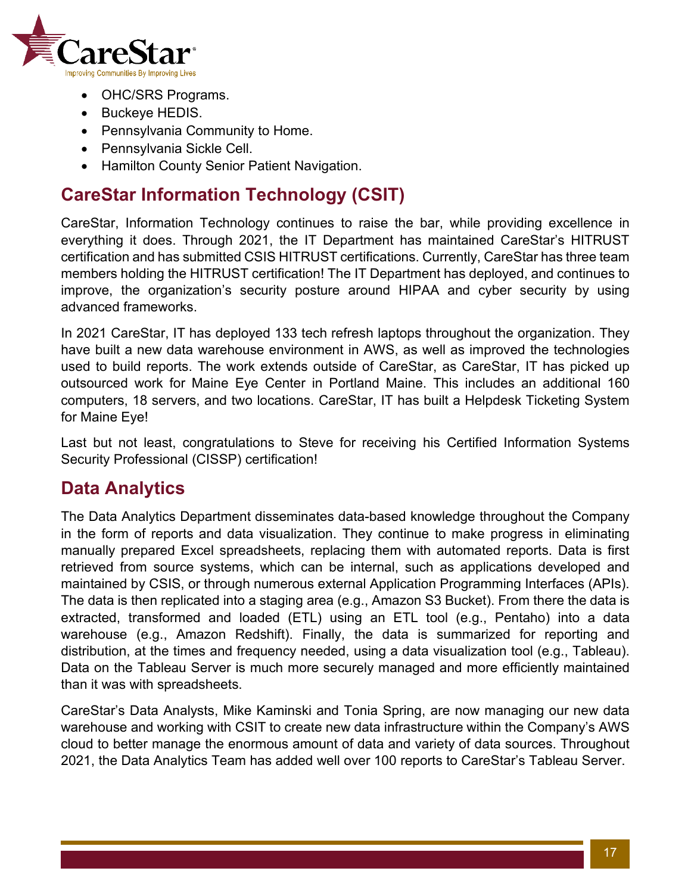

- OHC/SRS Programs.
- Buckeye HEDIS.
- Pennsylvania Community to Home.
- Pennsylvania Sickle Cell.
- Hamilton County Senior Patient Navigation.

### <span id="page-16-0"></span>**CareStar Information Technology (CSIT)**

CareStar, Information Technology continues to raise the bar, while providing excellence in everything it does. Through 2021, the IT Department has maintained CareStar's HITRUST certification and has submitted CSIS HITRUST certifications. Currently, CareStar has three team members holding the HITRUST certification! The IT Department has deployed, and continues to improve, the organization's security posture around HIPAA and cyber security by using advanced frameworks.

In 2021 CareStar, IT has deployed 133 tech refresh laptops throughout the organization. They have built a new data warehouse environment in AWS, as well as improved the technologies used to build reports. The work extends outside of CareStar, as CareStar, IT has picked up outsourced work for Maine Eye Center in Portland Maine. This includes an additional 160 computers, 18 servers, and two locations. CareStar, IT has built a Helpdesk Ticketing System for Maine Eye!

Last but not least, congratulations to Steve for receiving his Certified Information Systems Security Professional (CISSP) certification!

### <span id="page-16-1"></span>**Data Analytics**

The Data Analytics Department disseminates data-based knowledge throughout the Company in the form of reports and data visualization. They continue to make progress in eliminating manually prepared Excel spreadsheets, replacing them with automated reports. Data is first retrieved from source systems, which can be internal, such as applications developed and maintained by CSIS, or through numerous external Application Programming Interfaces (APIs). The data is then replicated into a staging area (e.g., Amazon S3 Bucket). From there the data is extracted, transformed and loaded (ETL) using an ETL tool (e.g., Pentaho) into a data warehouse (e.g., Amazon Redshift). Finally, the data is summarized for reporting and distribution, at the times and frequency needed, using a data visualization tool (e.g., Tableau). Data on the Tableau Server is much more securely managed and more efficiently maintained than it was with spreadsheets.

CareStar's Data Analysts, Mike Kaminski and Tonia Spring, are now managing our new data warehouse and working with CSIT to create new data infrastructure within the Company's AWS cloud to better manage the enormous amount of data and variety of data sources. Throughout 2021, the Data Analytics Team has added well over 100 reports to CareStar's Tableau Server.